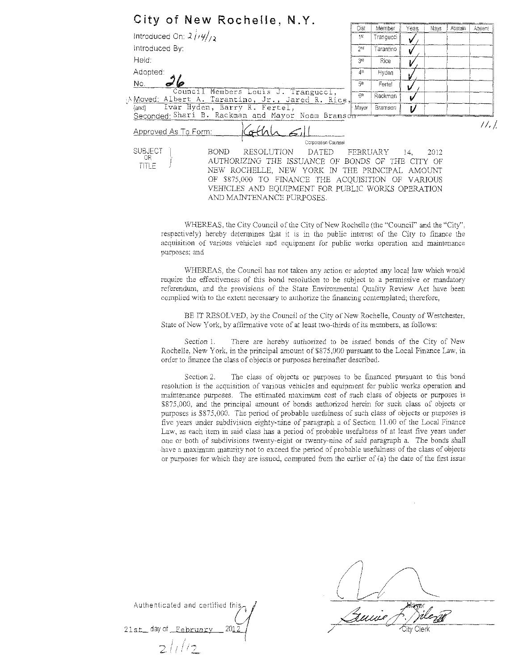| City of New Rochelle, N.Y.                                                             |                         |           |      |      |         |        |
|----------------------------------------------------------------------------------------|-------------------------|-----------|------|------|---------|--------|
|                                                                                        | Dist                    | Member    | Yeas | Navs | Abstain | Absent |
| Introduced On: $2/\frac{1}{4}$                                                         | 1st                     | Trangucci |      |      |         |        |
| Introduced By:                                                                         | $2n$ d                  | Tarantino |      |      |         |        |
| Held:                                                                                  | 3rd                     | Rice      |      |      |         |        |
| Adopted:                                                                               | 48                      | Hyden     |      |      |         |        |
| Nο.                                                                                    | 5#                      | Fertel    |      |      |         |        |
| Council Members Louis J. Trangucci,<br>Moved: Albert A. Tarantino, Jr., Jared R. Rice, | 6n                      | Rackman   |      |      |         |        |
| Ivar Hyden, Barry R. Fertel,<br>{and}                                                  | Mayor                   | Bramson   | V    |      |         |        |
| Seconded Shari B. Rackman and Mayor Noam Bramson                                       |                         |           |      |      |         |        |
| Approved As To Form:                                                                   |                         |           |      |      |         | 11. l  |
|                                                                                        | Corporation Counsei     |           |      |      |         |        |
| SUBJECT<br><b>BOND</b><br>RESOLUTION                                                   | DATED FEBRUARY 14, 2012 |           |      |      |         |        |
| OR.<br>AUTHORIZING THE ISSUANCE OF BONDS OF THE CITY OF                                |                         |           |      |      |         |        |
| TITLE<br>NEW ROCHELLE, NEW YORK IN THE PRINCIPAL AMOUNT                                |                         |           |      |      |         |        |
| OF \$875,000 TO FINANCE THE ACQUISITION OF VARIOUS                                     |                         |           |      |      |         |        |
| VEHICLES AND EQUIPMENT FOR PUBLIC WORKS OPERATION                                      |                         |           |      |      |         |        |
| AND MAINTENANCE PURPOSES.                                                              |                         |           |      |      |         |        |

WHEREAS, the City Council of the City of New Rochelle (the "Council" and the "City". respectively) hereby detennines that it is in the public interest of the City to finance the acquisition of various vehicles and equipment for public works operation and maintenance purposes; and

WHEREAS, the Council has not taken any action or adopted any local law which would require the effectiveness of this bond resolution to be subject to a permissive or mandatory referendum, and *the* provisions of the State Environmental Quality Review Act have been complied with to the extent necessary to authorize the financing contemplated; therefore,

BE IT RESOLVED, by the Council of the City of New Rochelle, County of Westchester, State of New York, by affirmative vote of at least two-thirds of its members, as follows:

Section 1. There are hereby authorized to be issued bonds of the City of New Rochelle, New York, in the principal amount of \$875,000 pursuant to the Local Finance Law, in order to finance the class of objects or purposes hereinafter described.

Section 2. The class of objects or purposes to be financed pursuant to this bond resolution is the acquisition of various vehicles and equipment for public works operation md maintenance purposes. The estimated maximum cost of such class of objects or purposes is \$875,000, and the principal amounl of bonds authorized herein for such class of objects or purposes is \$875,000. The period of probable usefulness of such class of objects *or* purposes is five years under subdivision eighty-nine of paragraph a of Section 11.00 of the Local Finance Law, as each item in said class has a period of probable usefulness of at least five years under one or both of subdivisions twenty-eight or twenty-nine of said paragraph a. The bonds shall have a maximum maturity not to exceed the period of probable usefulness of the class of objects or purposes for which they are issued, computed from the earlier of (a) the date of the first issue

Authenticated and certified this,

ł.

Authenticated and certified this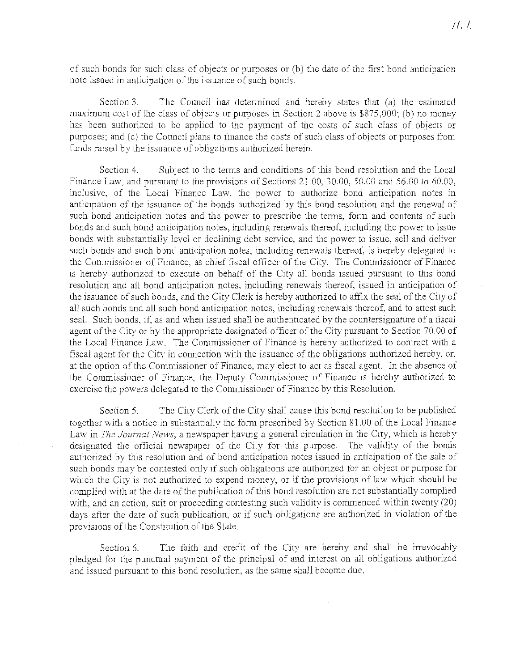of such bonds for such class of objects or purposes or (b) the date of the first bond anticipation note issued in anticipation of the issuance of such bonds.

Section 3. The Council has determined and hereby states that  $(a)$  the estimated maximum cost of the class of objects or purposes in Section 2 above is \$875,000; (b) no money has been authorized to be applied to the payment of the costs of such class of objects or purposes; and (c) the Council plans to finance the costs of such class of objects or purposes from funds raised by the issuance of obligations authorized herein.

Section 4. Subject to the terms and conditions of this bond resolution and the Local Finance Law, and pursuant to the provisions of Sections 21.00, 30.00, 50.00 and 56.00 to 60.00, inclusive, of the Local Finance Law, the. power to authorize bond anticipation notes in anticipation of the issuance of the bonds authorized by this bond resolution and the renewal of such bond anticipation notes and the power to prescribe the terms, fonn and contents of such bonds and such bond anticipation notes, including renewals thereof, including the power to issue bonds with substantially level or declining debt service, and the power to issue, sell and deliver such bonds and such bond anticipation notes, including renewals thereof, is hereby delegated to the Commissioner of Finance, as chief fiscal officer of the City. The Commissioner of Finance is hereby authorized to execute on behalf of the City all bonds issued pursuant to this bond resolution and all bond anticipation notes, including renewals thereof, issued in anticipation of the issuance of such bonds, and the City Clerk is hereby authorized to affix the seal of the City of all such bonds and all such bond anticipation notes, including renewals thereof, and to attest such seal. Such bonds, if, as and when issued shall be authenticated by the countersignature of a fiscal agent of the City or by the appropriate designated officer of the City pursuant to Section 70.00 of the Local Finance Law. The Connnissioner of Finance is hereby authorized to contract with a fiscal agent for the City in connection with the issuance of the obligations authorized hereby, or, at the option of the Commissioner of Finance, may elect to act as fiscal agent. In the absence of the Commissioner of Finance, the Deputy Commissioner of Finance is hereby authorized to exercise the powers delegated to the Commissioner of Finance by this Resolution.

Section 5. The City Clerk of the City shall cause this bond resolution to be published together with a notice in substantially the form prescribed by Section 81.00 of the Local Finance Law in *The Journal News,* a newspaper having a general circulation in the City, which is hereby designated the official newspaper of the City for this purpose. The validity of the bonds authorized by this resolution and of bond anticipation notes issued in anticipation of the sale of such bonds may be contested only if such obligations are authorized for an object or purpose for which the City is not authorized to expend money, or if the provisions of law which should be complied with at the date of the publication of this bond resolution are not substantially complied with, and an action, suit or proceeding contesting such validity is connnenced within twenty (20) days after the date of such publication, or if such obligations are authorized in violation of the provisions of the Constitution of the State.

Section 6. The faith and credit of the City are hereby and shall be irrevocably pledged for the punctual payment of the principal of and interest on all obligations authorized and issued pursuant to this bond resolution, as the same shall become due.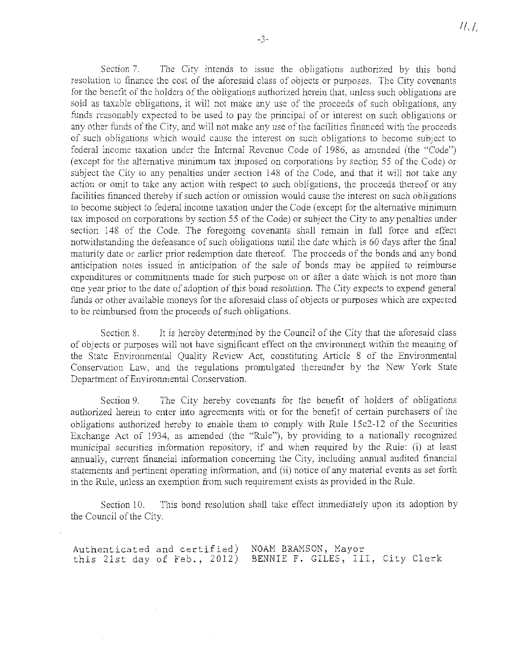Section 7. The City intends to issue the obligations authorized by this bond resolution to finance the cost of the aforesaid class of objects or purposes. The City covenants for the benefit of the holders of the obligations authorized herein that, unless such obligations are sold as taxable obligations, it will not make any use of the proceeds of such obligations, any funds reasonably expected to be used to pay the principal of or interest on such obligations or any other funds of the City, and will not make any use of the facilities financed with the proceeds of such obligations which would cause the interest on such obligations to become subject to federal income taxation under the Internal Revenue Code of 1986, as amended (the "Code") (except for the alternative minimum tax imposed on corporations by section 55 of the Code) or subject the City to any penalties under section 148 of the Code, and that it will not take any action or omit to take any action with respect to such obligations, the proceeds thereof or any facilities financed thereby if such action or omission would cause the interest on such obligations to become subject to federal income taxation under the Code (except for the alternative minimum tax imposed on corporations by section 55 of the Code) or subject the City to any penalties under section 148 of the Code. The foregoing covenants shall remain in full force and effect notwithstanding the defeasance of such obligations until the date which is 60 days after the final maturity date or earlier prior redemption date thereof. The proceeds of the bonds and any bond anticipation notes issued in anticipation of the sale of bonds may be applied to reimburse expenditures or commitments made for such purpose on or after a date which is not more than one year prior to the date of adoption of this bond resolution. The City expects to expend general funds or other available moneys for the aforesaid class of objects or purposes which are expected to be reimbursed from the proceeds of such obligations.

Section 8. It is hereby determined by the Council of the City that the aforesaid class of objects or purposes will not have significant effect on the environment within the meaning of the State Environmental Quality Review Act, constituting Article 8 of the Enviromnental Conservation Law, and the regulations promulgated thereunder by the New York State Department of Environmental Conservation.

Section 9. The City hereby covenants for the benefit of holders of obligations authorized herein to enter into agreements with or for the benefit of certain purchasers of the obligations authorized hereby to enable them to comply with Rule 15c2-12 of the Securities Exchange Act of 1934, as amended (the "Rule"), by providing to a nationally recognized municipal securities information repository, if and when required by the Rule: (i) at least annually, current financial information concerning the City, including annual audited financial statements and pertinent operating information, and (ii) notice of any material events as set forth in the Rule, unless an exemption from such requirement exists as provided in the Rule.

Section 10. This bond resolution shall take effect innnediately upon its adoption by the Council of the City.

Authenticated and certified) this 21st day of Feb., 2012) NOAM BRAMSON, Mayor BENNIE F. GILES, Ill, City Clerk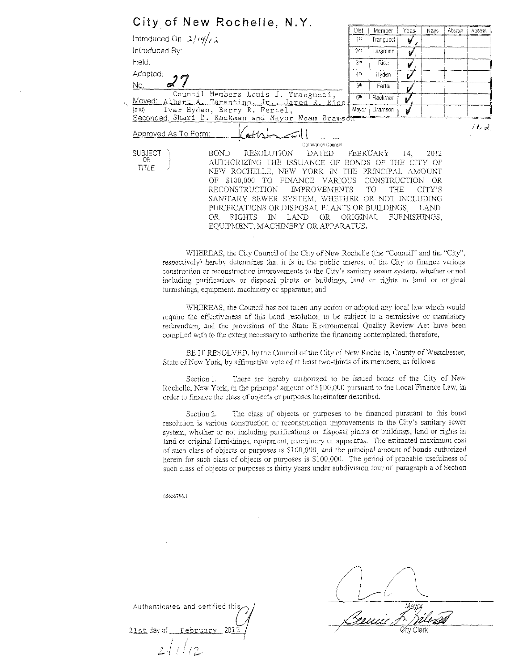| City of New Rochelle, N.Y.                                                                  |                 |                     |       |         |         |        |
|---------------------------------------------------------------------------------------------|-----------------|---------------------|-------|---------|---------|--------|
| Introduced On: $2/14/\sqrt{2}$                                                              | Dist<br>1st     | Member<br>Trangucci | Yeas. | Navs    | Abstain | Absent |
|                                                                                             |                 |                     | V     |         |         |        |
| Introduced By:                                                                              | 2 <sub>0</sub>  | Tarantino           | ν     |         |         |        |
| Held:                                                                                       | 3rd             | <b>Rice</b>         | V     |         |         |        |
| Adopted:                                                                                    | 4th             | Hyden               |       |         |         |        |
| No.                                                                                         | 5 <sup>th</sup> | Fertel              |       |         |         |        |
| Council Members Louis J. Trangucci,<br>Moved: Albert A. Tarantino, Jr., Jared R. Rice<br>τų | 6th             | Rackman             |       |         |         |        |
| Ivar Hyden, Barry R. Fertel,<br>$\{and\}$                                                   | Mayor           | Bramson             |       |         |         |        |
| Seconded: Shari B. Rackman and Mayor Noam Bramsor                                           |                 |                     |       |         |         |        |
| Approved As To Form:                                                                        |                 |                     |       |         |         | H, d   |
| Corporation Counsel                                                                         |                 |                     |       |         |         |        |
| <b>SUBJECT</b><br><b>BOND</b><br><b>RESOLUTION</b><br>DATED FEBRUARY                        |                 |                     | 14.   | -2012   |         |        |
| OR.<br>AUTHORIZING THE ISSUANCE OF BONDS OF<br>TITLE                                        |                 | THE                 |       | CITY OF |         |        |
| NEW ROCHELLE, NEW YORK IN THE PRINCIPAL AMOUNT                                              |                 |                     |       |         |         |        |
| OF \$100,000 TO FINANCE VARIOUS                                                             |                 | CONSTRUCTION        |       | – OR    |         |        |
| RECONSTRUCTION<br>IMPROVEMENTS TO                                                           |                 | <b>THE</b>          |       | CITY'S  |         |        |
| SANITARY SEWER SYSTEM, WHETHER OR NOT INCLUDING                                             |                 |                     |       |         |         |        |
| PURIFICATIONS OR DISPOSAL PLANTS OR BUILDINGS, LAND                                         |                 |                     |       |         |         |        |
| IN LAND OR ORIGINAL FURNISHINGS.<br>RIGHTS<br>OR                                            |                 |                     |       |         |         |        |
| EQUIPMENT, MACHINERY OR APPARATUS.                                                          |                 |                     |       |         |         |        |

VVHEREAS, the City Council of the City of New Rochelle (the ''Council" and the "City", respectively) hereby determines that it is in the public interest of the City to finance various construction or reconstruction improvements to the City's sanitary sewer system, whether or not including purifications or disposal plants or buildings, land or rights in land or original furnishings, equipment, machinery or apparatus; and

WHEREAS, the Council has not taken any action or adopted any local law which would require the effectiveness of this bond resolution to be subject to a permissive or mandatory referendum, and the provisions of the State Environmental Quality Review Act have been complied with to fhe extent necessary to authorize the financing contemplated; therefore,

BE IT RESOLVED, by the Council of the City of New Rochelle, County of Westchester, State of New York, by affirmative vote of at least two-thirds of its members, as follows:

Section 1. There are hereby authorized to be issued bonds of the City of New Rochelle, New York, in the principal amount of \$100,000 pursuant to the Local Finance Law, in order to finance the class of objects or purposes hereinafter described.

Section 2. The dass of objects or purposes to be financed pursuant to this bond resolution is various construction or reconstruction improvements to the City's sanitary sewer system, whether or not including purifications or disposal plants or buildings, land or rights in land or original furnishings, equipment, machinery or apparatus. The estimated maximum cost of such class of objects or purposes is Sl 00,000, and the principal amount of bonds authorized berein for such class of objects or purposes is \$100,000. The period of probable usefulness of such class of objects or purposes is thirty years under subdivision four of paragraph a of Section

65656796.1

Authenticated and certified this 21st aay of Februarv *20M*  ; *I! !/?* \_.-, *(.;\_...--*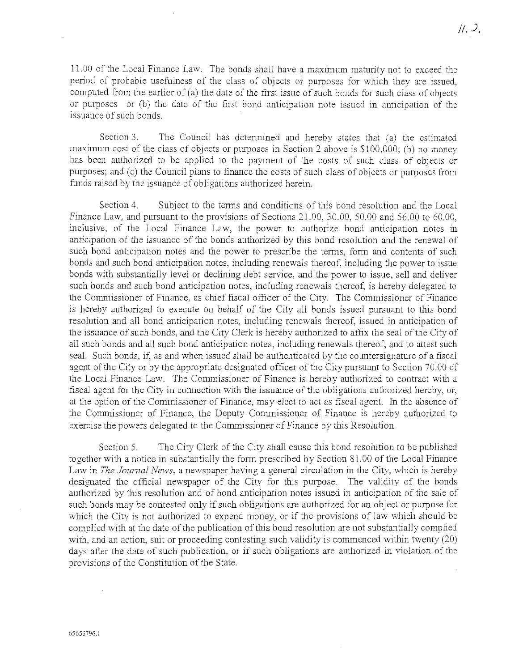$11.00$  of the Local Finance Law. The bonds shall have a maximum maturity not to exceed the period of probable usefumess of the class of objects or purposes for which they are issued, computed from the earlier of (a) the date of the first issue of such bonds for such class of objects or purposes or (b) the date of the first bond anticipation note issued in anticipation of the issuance of such bonds.

Section 3. The Council has determined and hereby states that (a) the estimated maximum cost of the class of objects or purposes in Section *2* above is \$1 00,000; (b) no money has been authorized to be applied to the payment of the costs of such class of objects or purposes; and (c) the Council plans to finance the costs of such class of objects or purposes from funds raised by the issuance of obligations authorized herein.

Section 4. Subject to the terms and conditions of this bond resolution and the Local Finance Law, and pursuant to the provisions of Sections 21.00, 30.00, 50.00 and 56.00 to 60.00, inclusive, of the Local Finance Law, the power to authorize bond anticipation notes in anticipation of the issuance of the bonds authorized by this bond resolution and the renewal of such bond anticipation notes and the power to prescribe the terms, form and contents of such bonds and such bond anticipation notes, including renewals thereof, including the power to issue bonds with substantially level or declining debt service, and the power to issue, sell and deliver such bonds and such bond anticipation notes, including renewals thereof, is hereby delegated to the Commissioner of Finance, as chief fiscal officer of the City. The Commissioner of Finance is hereby authorized to execute on behalf of the City all bonds issued pursuant to this bond resolution and all bond anticipation notes, including renewals thereof, issued in anticipation of the issuance of such bonds, and the City Clerk is hereby authorized to affix the seal of the City of all such bonds and all such bond anticipation notes, including renewals thereof, and to attest such seal. Such bonds, if, as and when issued shall be authenticated by the countersignature of a fiscal agent of the City or by the appropriate designated officer of the City pursuant to Section 70.00 of the Local Finance Law. The Commissioner of Finance is hereby authorized to contract with a fiscal agent for the City in connection with the issuance of the obligations authorized hereby, or, at the option of the Commissioner of Finance, may elect to act as fiscal agent. In the absence of the Commissioner of Finance, the Deputy Commissioner of Finance is hereby authorized to exercise the powers delegated to the Commissioner of Finance by this Resolution.

Section 5. The City Clerk of the City shall cause this bond resolution *to* be published together with a notice in substantially the form prescribed by Section 81.00 of the Local Finance Law in *The Journal News,* a newspaper having a general circulation in the City, which is hereby designated the official newspaper of the City for this pmpose. The validity of the bonds authorized by this resolution and of bond anticipation notes issued in anticipation of the sale of such bonds may be contested only if such obligations are authorized for an object or purpose for which the City is not authorized to expend money, or if the provisions of law which should be complied with at the date of the publication of this bond resolution are not substantially complied with, and an action, suit or proceeding contesting such validity is commenced within twenty (20) days after the date of such publication, or if such obligations are authorized in violation of the provisions of the Constitution of the Stare.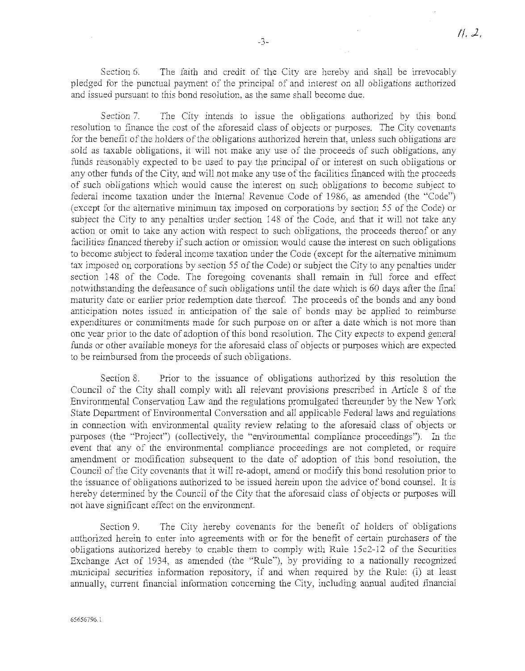Section 6. The faith and credit of the City are hereby and shall be irrevocably pledged for the punctual payment of the principal of and interest on all obligations authorized and issued pursuant to this bond resolution, as the same shall become due.

Section 7. The City intends to issue the obligations authorized by this bond resolution to finance the cost of the aforesaid class of objects or purposes. The City covenants for the benefit of the holders of the obligations authorized herein that, unless such obligations are sold as taxable obligations, it will not make any use of the proceeds of such obligations, any funds reasonably expected to be used to pay the principal of or interest on such obligations or any other funds of the City, and will not make any use of the facilities financed with the proceeds of such obligaiions which would cause the interest on such obligations to become subject to federal income taxation under the Intemal Revenue Code of 1986, as amended (the "Code") (except for the aliemative minimum tax imposed on corporations by section 55 of the Code) or subject the City to any penalties under section 148 of the Code, and that it will not take any action or omit to take any action with respect to such obligations, the proceeds thereof or any facilities financed thereby if such action or omission would cause the interest on such obligations to become subject to federal income taxation under the Code (except for the alternative minimum tax imposed on corporations by section 55 of the Code) or subject the City to any penalties under section 148 of the Code. The foregoing covenants shall remain in full force and effect notwithstanding the defeasance of such obligations until the date which is 60 days after the final maturity date or earlier prior redemption date thereof. The proceeds of the bonds and any bond anticipation notes issued in anticipation of the sale of bonds may be applied to reimburse expenditures or commitments made for such purpose on or after a date which is not more than one year prior to the date of adoption of this bond resolution. The City expects to expend general funds or other available moneys for the aforesaid class of objects or purposes which are expected to be reimbursed from the proceeds of such obligations.

Section 8. Prior to the issuance of obligations authorized by this resolution the Council of the City shall comply with all relevant provisions prescribed in Article 8 of the Environmental Conservation Law and the regulations promulgated thereunder by the New York State Department of Environmental Conversation and all applicable Federal laws and regulations in connection with environmental quality review relating to the aforesaid class of objects or purposes (the "Project") (collectively, the "environmental compliance proceedings"). In the event that any of the environmental compliance proceedings are not completed, or require amendment or modification subsequent to the date of adoption of this bond resolution, the Council of the City covenants that it will re-adopt, amend or modify this bond resolution prior to the issuance of obligations authorized to be issued herein upon the advice of bond counsel. It is hereby determined by the Council of the City that the aforesaid class of objects or purposes will not have significant effect on the enviromnent.

Section 9. The City hereby covenants for the benefit of holders of obligations authorized herein to enter into agreements with or for the benefit of certain purchasers of the obligations authorized hereby to enable them to comply with Rule 15c2-12 of the Securities Exchange Act of 1934, as amended (the "Rule"), by providing to a nationally recognized municipal securities information repository, if and when required by the Rule: (i) at least annually, current financial information concerning the City, including annual audited financial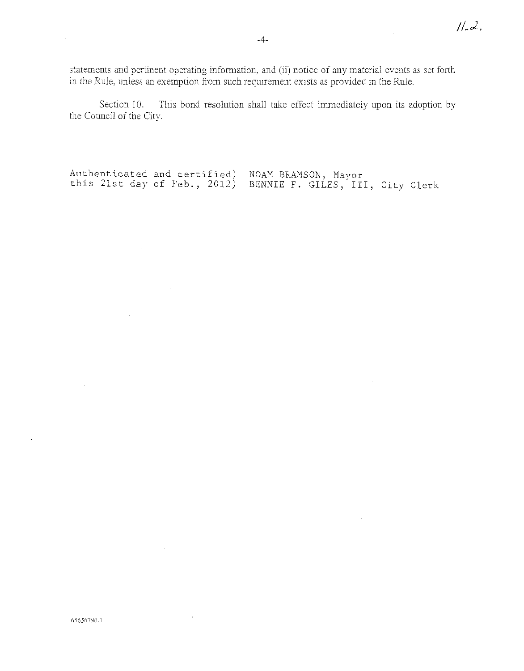statements and pertinent operating information, and (ii) notice of any material events as set forth in the Rule, unless an exemption from such requirement exists as provided in the Rule.

Section 10. This bond resolution shall take effect immediately upon its adoption by the Council of the City.

Authenticated and certified) Authenticated and certified) NOAM BRAMSON, Mayor<br>this 21st day of Feb., 2012) BENNIE F. GILES, III, City Clerk

 $\hat{\boldsymbol{\theta}}$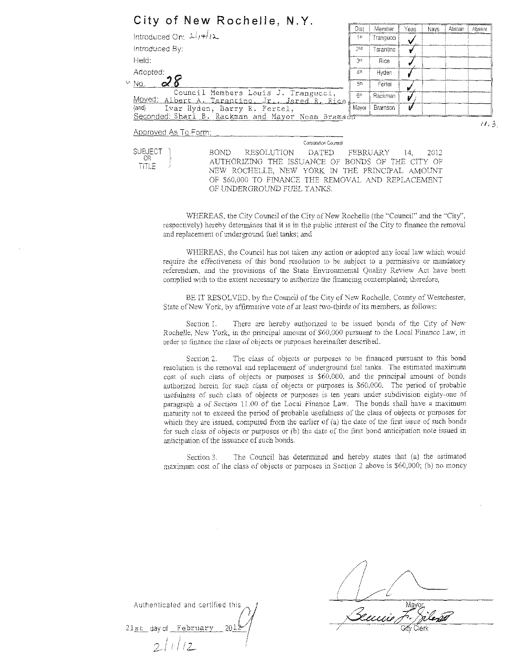| City of New Rochelle, N.Y. |  |  |
|----------------------------|--|--|
|----------------------------|--|--|

|                                                                                       | Dist            |                     | Yeas |      |         |        |
|---------------------------------------------------------------------------------------|-----------------|---------------------|------|------|---------|--------|
| Introduced On: $2\sqrt{1+\frac{1}{2}}$                                                | 1st             | Member<br>Trangucci |      | Navs | Abstain | Absent |
|                                                                                       |                 |                     |      |      |         |        |
| Introduced By:                                                                        | 2 <sub>ne</sub> | Tarantino           |      |      |         |        |
| Held:                                                                                 | 3rd             | Rice                |      |      |         |        |
| Adopted:                                                                              | 4th             | Hyden               |      |      |         |        |
| u No.                                                                                 | 5th             | Fertei              |      |      |         |        |
| Council Members Louis J. Trangucci,<br>Moved: Albert A. Tarantino, Jr., Jared R. Rice | 6th             | Rackman             |      |      |         |        |
| {and}<br>Ivar Hyden, Barry R. Fertel,                                                 | Mayor           | Bramson             |      |      |         |        |
| Seconded: Shari B. Rackman and Mayor Noam Bramson                                     |                 |                     |      |      |         |        |
| .                                                                                     |                 |                     |      |      |         | 11, 3  |

Approved As To Form:

OR TITLE Comorahon Counsel

**SUBJECT** BOND RESOLUTION DATED FEBRUARY 14, 2012 AUTHORIZING THE ISSUANCE OF BONDS OF THE CITY OF NEW ROCHELLE, NEW YORK IN THE PRINCIPAL AMOUNT OF \$60,000 TO FINANCE THE REMOVAL AND REPLACEMENT OF UNDERGROUND FUEL TANKS.

V/HEREAS, the City Council of the City of New Rochelle (the ''Council'' and the "City", respectively) hereby determines that it is in the public interest of the City to finance the removal and replacement of underground fuel tanks; and

WHEREAS, the Council has not taken any action or adopted any local law which would require the effectiveness of this bond resolution to be subject to a permissive or mandatory referendum, and the provisions of the State Environmental Quality Review Act have been complied with to tbe extent necessary to authorize the financing contemplated; therefore,

BE IT RESOLVED, by the Council of the City of New Rochelle. County of Westchester, State of New York, by affirmative vote of at least two-thirds of its members, as follows:

Section 1. There are hereby authorized to be issued bonds of the City of New Rochelle, New York, in the principal amount of \$60,000 pursuant to the Local Finance Law, in order to finance the class of objects or purposes hereinafter described.

Section 2. The class of objects or purposes to be financed pursuant to this bond resolution ls the removal and replacement of underground fuel tanks. The estimated maximum cost of such class of objects or purposes is \$60.000, and tbe principal amount of bonds authorized herein for such class of objects or purposes is \$60,000. The period of probable usefulness of such class of objects or purposes is ten years under subdivision eighty-one of paragraph a of Section 11.00 of the Local Finance Law. The bonds shall have a maximum maturity not to exceed the period of probable usefulness of the class of objects or purposes for which they are issued, computed from the earlier of (a) the date of the first issue of such bonds for such class of objects or purposes or (b) the date of the first bond anticipation note issued in anticipation of the issuance of such bonds.

Section 3. The Council has determined and hereby states that (a) the estimated maximum cost of the class of objects or purposes in Section 2 above is \$60,000; (b) no money

Authenticated and certified this  $\bigcirc_{201}^{7}$ 21st day of February 2/1/12 /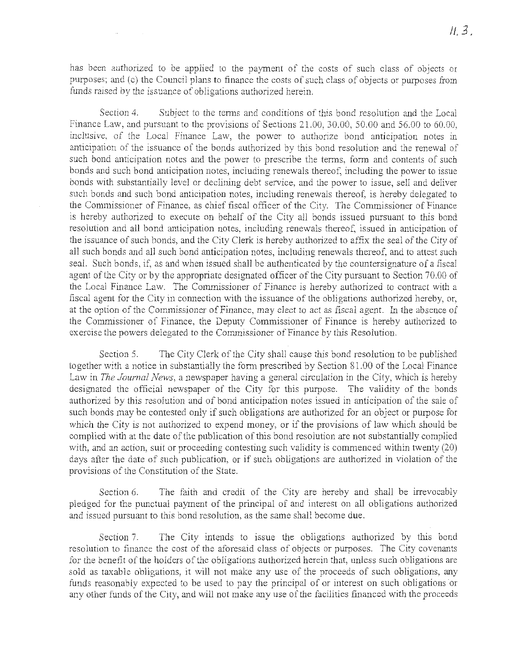has been anthorized to be applied to the payment of the costs of such class of objects or purposes; and (c) the Council plans to finance the costs of such class of objects or purposes from funds raised by the issuance of obligations authorized herein.

Section 4. Subject to the terms and conditions of this bond resolution and the Local Finance Law, and pursuant to the provisions of Sections 21.00, 30.00, 50.00 and 56.00 to 60.00, inclusive, of the Local Finance Law, the power to authorize bond anticipation notes in anticipation of the issuance of the bonds authorized by this bond resolution and the renewal of such bond anticipation notes and the power to prescribe the terms, form and contents of such bonds and such bond anticipation notes, including renewals thereof, including the power to issue bonds with substantially level or declining debt service, and the power to issue, sell and deliver such bonds and such bond anticipation notes, including renewals thereof, is hereby delegated to the Commissioner of Finance, as chief fiscal officer of the City. The Commissioner of Finance is hereby authorized to execute on behalf of the City all bonds issued pursumt to this bond resolution and all bond anticipation notes, including renewals thereof, issued in anticipation of the issuance of such bonds, and the City Clerk is hereby authorized to affix the seal of the City of all such bonds md all such bond anticipation notes, including renewals thereof, md to attest such seal. Such bonds, if, as and when issued shall be authenticated by the countersignature of a fiscal agent of the City or by the appropriate designated officer of the City pursuant to Section 70.00 of the Local Finance Law. The Commissioner of Finance is hereby authorized to contract with a fiscal agent for the City in connection with the issuance of the obligations authorized hereby, or, at the option of the Commissioner of Finance, may elect to act as fiscal agent. In the absence of the Commissioner of Finance, the Deputy Commissioner of Finance is hereby authorized to exercise the powers delegated to the Commissioner of Finance by this Resolution.

Section 5. The City Clerk of the City shall cause this bond resolution to be published together with a notice in substantially the form prescribed by Section 81.00 of the Local Finance Law in *The Journal News,* a newspaper having a general circulation in the City, which is hereby designated the official newspaper of the City for this purpose. The validity of the bonds authorized by this resolution and of bond anticipation notes issued in mticipation of the sale of such bonds may be contested only if such obligations are authorized for an object or purpose for which the City is not authorized to expend money, or if the provisions of law which should be complied with at the date of the publication of this bond resolution are not substantially complied with, and an action, suit or proceeding contesting such validity is commenced within twenty (20) days after the date of such publication, or if such obligations are authorized in violation of the provisions of the Constitution of the State.

Section 6. The faith and credit of the City are hereby and shall be irrevocably pledged for the punctual payment of the principal of and interest on all obligations authorized and issued pursuant to this bond resolution, as the same shall become due.

Section 7. The City intends to issue the obligations authorized by this bond resolution to finance the cost of the aforesaid class of objects or purposes. The City covenants for the benefit of the holders of the obligations authorized herein that, unless such obligations are sold as taxable obligations, it will not make any use of the proceeds of such obligations, my funds reasonably expected to be used to pay the principal of or interest on such obligations or any other funds of the City, and will not make any use of the facilities financed with the proceeds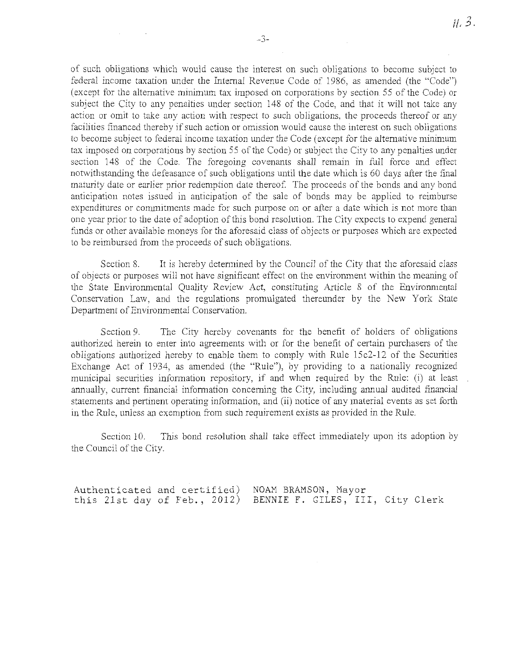of such obligations which would cause the interest on such obligations to become subject to federal income taxation under the Internal Revenue Code of 1986, as amended (the "Code") (except for the alternative minimum tax imposed on corporations by section 55 of the Code) or subject the City to any penalties under section 148 of the Code, and that it will not take any action or omit to take any action with respect to such obligations, the proceeds thereof or any facilities financed thereby if such action or omission would cause the interest on such obligations to become subject to federal income taxation under the Code (except for the altemative minimum tax imposed on corporations by section 55 of the Code) or subject the City to any penalties under section 148 of the Code. The foregoing covenants shall remain in full force and effect notwithstanding the defeasance of such obligations until the date which is 60 days after the final maturity date or earlier prior redemption date thereof. The proceeds of the bonds and any bond anticipation notes issued in anticipation of the sale of bonds may be applied to reimburse expenditures or commitments made for such purpose on or after a date which is not more than one year prior to the date of adoption of this bond resolution. The City expects to expend general funds or other available moneys for the aforesaid class of objects or purposes which are expected to be reimbursed from the proceeds of such obligations.

Section 8. It is hereby determined by the Council of the City that the aforesaid class of objects or purposes will not have significant effect on the environment within the meaning of the State Environmental Quality Review Act, constituting Article 8 of the Environmental Conservation Law, and the regulations promulgated therermder by the New York State Department of Environmental Conservation.

Section 9. The City hereby covenants for the benefit of holders of obligations authorized herein to enter into agreements with or for the benefit of certain purchasers of the obligations authorized hereby to enable them to comply with Rule 15c2-12 of the Securities Exchange Act of 1934, as amended (the "Rule"), by providing to a nationally recognized municipal securities information repository, if and when required by the Rule: (i) at least annually, current financial information concerning the City, including annual audited financial statements and pertinent operating information, and (ii) notice of any material events as set forth in the Rule, unless an exemption from such requirement exists as provided in the Rule.

Section 10. This bond resolution shall take effect immediately upon its adoption by the Council of the City.

Authenticated and certified) this 21st day of Feb,, 2012) NOAM BRAMSON, Mayor BENNIE F. GILES, III, City Clerk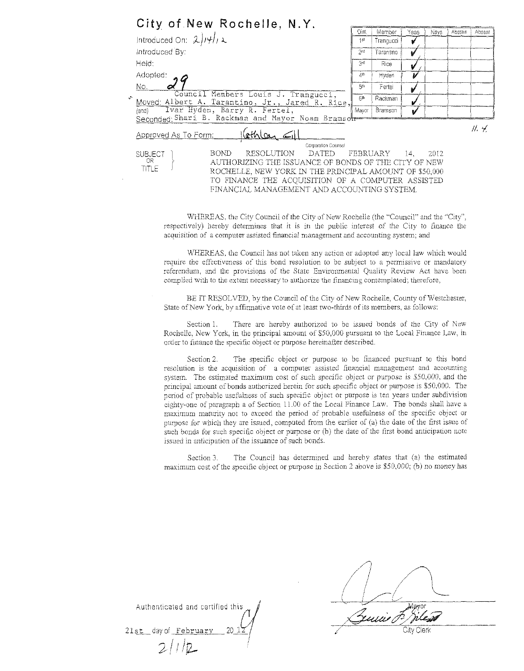| City of New Rochelle, N.Y.                                                                                                                                                                                                                                                                        |                |                     |      |      |         |        |
|---------------------------------------------------------------------------------------------------------------------------------------------------------------------------------------------------------------------------------------------------------------------------------------------------|----------------|---------------------|------|------|---------|--------|
| Introduced On: $2 H $ , 2                                                                                                                                                                                                                                                                         | Dist<br>4st    | Member<br>Trangucci | Yeas | Navs | Abstain | Absent |
| Introduced By:                                                                                                                                                                                                                                                                                    | 200            | Tarantino           | v    |      |         |        |
| Held:                                                                                                                                                                                                                                                                                             | 3d             | Rice                |      |      |         |        |
| Adopted:                                                                                                                                                                                                                                                                                          | 4 <sup>m</sup> | Hyden               | V    |      |         |        |
| No.                                                                                                                                                                                                                                                                                               | 50             | Fertei              |      |      |         |        |
| Council Members Louis J. Trangucci,<br>Moved: Albert A. Tarantino, Jr., Jared R. Rice,                                                                                                                                                                                                            | 60             | Rackman             | v    |      |         |        |
| Ivar Hyden, Barry R. Fertel.<br>$\{and\}$<br>Seconded: Shari B. Rackman and Mayor Noam Bramsor                                                                                                                                                                                                    | Mayor          | Bramson             | v    |      |         |        |
| Approved As To Form:                                                                                                                                                                                                                                                                              |                |                     |      |      |         | H.4    |
| Corporation Counsel                                                                                                                                                                                                                                                                               |                |                     |      |      |         |        |
| <b>RESOLUTION</b><br><b>BOND</b><br>DATED<br><b>SUBJECT</b><br>OR.<br>AUTHORIZING THE ISSUANCE OF BONDS OF THE CITY OF NEW<br>TITLE<br>ROCHELLE, NEW YORK IN THE PRINCIPAL AMOUNT OF \$50,000<br>TO FINANCE THE ACQUISITION OF A COMPUTER ASSISTED<br>FINANCIAL MANAGEMENT AND ACCOUNTING SYSTEM. |                | FEBRUARY            | 14.  | 2012 |         |        |

WHEREAS, the City Council of the City of New Rochelle (the "Council" and the "City", respectively) hereby determines that it is in lhe public interest of the City to finance the acquisition of a computer assisted financial management and accounting system; and

WHEREAS, the Council has not taken any action or adopted any local law which would require *the* effectiveness of this bond resolution to be subject to a permissive or mandatory referendum, and the provisiops of the State Environmental Quality Review Act have been complied with to the extent necessary to authorize the financing contemplated; therefore,

BE IT RESOLVED, by the Council of the City of New Rochelle, County of Westchester, State of New York, by affinnative vote of at least two-thirds of its members, as follows:

Section 1. There are hereby authorized to be issued bonds of the City of New Rochelle, New York, in the principal amount of \$50,000 pursuant to the Local Finance Law, in order to fmance the specific object or purpose hereinafter described.

Section 2. The specific object or purpose to be financed pursuant to this bond resolution is the acquisition of a computer assisted financial management and accounting system. The estimated maximum cost of such specific object or purpose is  $$50,000$ , and the principal mnount of bonds authorized herein for such specific object or purpose is \$50,000. The period of probable usefulness of such specific object or purpose is ten years under subdivision eighty-one of paragraph a of Section 11.00 of the Local Finance Law. The bonds shall have a maximum maturity not to exceed the period of probable usefulness of the specific object or purpose for which they are issued, computed from the earlier of (a) the date of the first issue of such bonds for such specific object or purpose or (b) the date of the first bond anticipation note issued in anticipation of *the* issuance of such bonds.

Section 3. The Council has determined and hereby states that (a) the estimated maximum cost of the specific object or purpose in Section 2 above is  $$50,000$ ; (b) no money has

Authenticated and certified th 20 1  $\frac{1}{2}$ 21st day of February  $2/1/2$ 

/ C1ty Clerk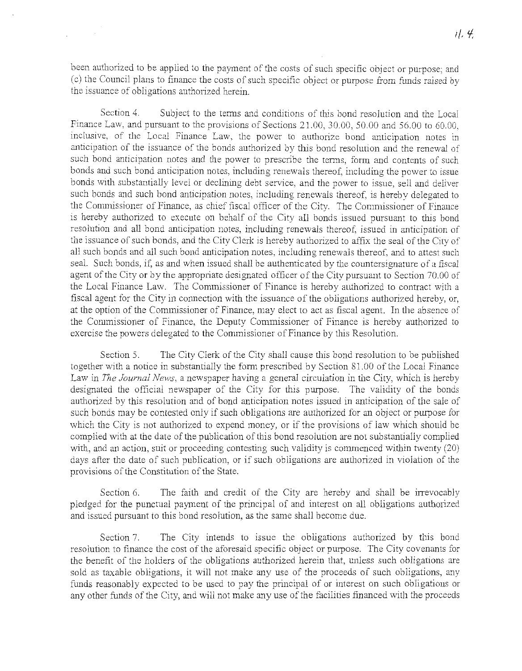been authorized to be applied to the payment of the costs of such specific object or purpose; and (c) the Council plans to fimmce the costs of such specific object or purpose from fimds raised by the issuance of obligations authorized herein.

Section 4. Subject to the terms and conditions of this bond resolution and the Local Finance Law, and pursuant to the provisions of Sections 21.00, 30.00, 50.00 and 56.00 to 60.00, inclusive, of the Local Fimmce Law, the power to authorize bond anticipation notes in anticipation of the issuance of the bonds authorized by this bond resolution and the renewal of such bond anticipation notes and the power to prescribe the terms, form and contents of such bonds and such bond anticipation notes, including renewals thereof, including the power to issue bonds with substantially level or declining debt service, and the power to issne, sell and deliver such bonds and such bond anticipation notes, including renewals thereof, is hereby delegated to the Connnissioner of Finance, as chief fiscal officer of the City. The Commissioner of Finance is hereby authorized to execute on behalf of the City all bonds issued pursuant to this bond resolution and all bond anticiparion notes, including renewals thereof, issued in anticipation of the issuance of such bonds, and the City Clerk is hereby authorized to affix the seal of the City of all such bonds and all such bond anticipation notes, including renewals thereof, and to attest such seal. Such bonds, if, as and when issued shall be authenticated by the countersignature of a fiscal agent of the City or by the appropriate designated officer of the City pursuant to Section 70.00 of the Local Finance Law. The Commissioner of Finance is hereby authorized to contract with a fiscal agent for the City in connection with the issuance of the obligations authorized hereby, or, at the option of the Commissioner of Finance, may elect to act as fiscal agent. In the absence of the Commissioner of Finance, the Deputy Commissioner of Finance is hereby authorized to exercise the powers delegated to the Commissioner of Finance by this Resolution.

Section 5. The City Clerk of the City shall cause this bond resolution to be published together with a notice in substantially the form prescribed by Section 81.00 of the Local Finance Law in *The Journal News,* a newspaper having a general circulation in the City, which is hereby designated the official newspaper of the City for this purpose. The validity of the bonds authorized by this resolution and of bond anticipation notes issued in anticipation of the sale of such bonds may be contested only if such obligations are authorized for an object or purpose for which the City is not authorized to expend money, or if the provisions of law which should be complied with at the date of the publication of this bond resolution are not substantially complied with, and an action, suit or proceeding contesting such validity is commenced within twenty (20) days after the date of such publication, or if such obligarions are anthorized in violation of the provisions of the Constitution of the State.

Section 6. The faith and credit of the City are hereby and shall be irrevocably pledged for the punctual payment of the principal of and interest on all obligations authorized and issued pursuant to this bond resolution, as the same shall become due.

Section 7. The City intends to issue the obligations anthorized by this bond resolution to finance the cost of the aforesaid specific object or purpose. The City covenants for the benefit of the holders of the obligations authorized herein that, unless such obligations are sold as taxable obligations, it will not make any use of the proceeds of such obligations, any funds reasonably expected to be used to pay the principal of or interest on such obligations or any other funds of the City, and will not malce any use of the facilities financed with the proceeds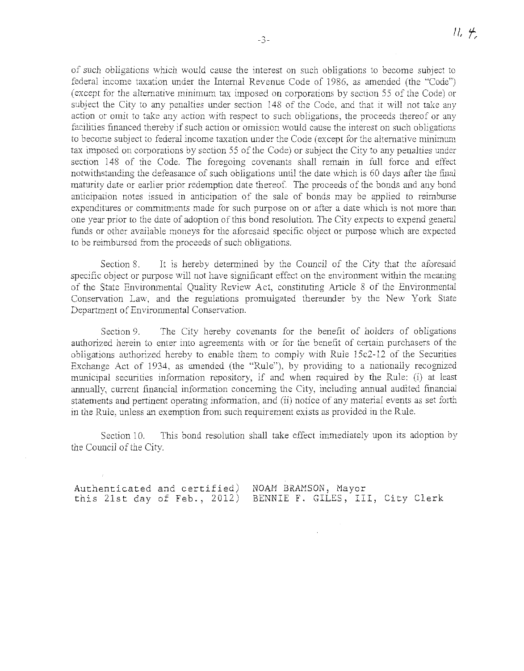of such obligations which would cause the interest on such obligations to become subject to federal income taxation under the Internal Revenue Code of 1986, as amended (the "Code") (except for the alternative minimum tax imposed on corporations by section 55 of the Code) or subject the City to any penalties under section 148 of the Code, and that it will not take any action or omit to take any action with respect to such obligations, the proceeds thereof or any facilities financed thereby if such action or omission would cause the interest on such obligations to become subject to federal income taxation under the Code (except for the alternative minimum tax imposed on corporations by section 55 of the Code) or subject the City to any penalties under section 148 of the Code. The foregoing covenants shall remain in full force and effect notwithstanding the defeasance of such obligations until the date which is 60 days after the final maturity date or earlier prior redemption date thereof. The proceeds of the bonds and any bond anticipation notes issued in anticipation of the sale of bonds may be applied to reimburse expenditures or commitments made for such purpose on or after a date which is not more than one year prior to the date of adoption of this bond resolution. The City expects to expend general funds or other available moneys for the aforesaid specific object or purpose which are expected to be reimbursed from the proceeds of such obligations.

Section 8. It is hereby determined by the Council of the City that the aforesaid specific object or purpose will not have significant effect on the environment within the meaning of the State Enviromnental Quality Review Act, constituting Article 8 of the Environmental Conservation Law, and the regulations promulgated thereunder by the New York State Department of Environmental Conservation.

Section 9. The City hereby covenants for the benefit of holders of obligations authorized herein to enter into agreements with or for the benefit of certain purchasers of the obligations authorized hereby to enable them to comply with Rule 15c2-12 of the Securities Exchange Act of 1934, as amended (the "Rule"), by providing to a nationally recognized municipal securities information repository, if and when required by the Rule: (i) at least annually, current financial infonnation concerning the City, including annual audited financial statements and pertinent operating information, and (ii) notice of any material events as set fonh in the Rule, unless an exemption from such requirement exists as provided in the Rule.

Section 10. This bond resolution shall take effect immediately upon its adoption by the Council of the City.

Authenticated and certified) this 21st day of Feb,, 2012) NOAM BRAMSON, Mayor BENNIE F. GILES, III, City Clerk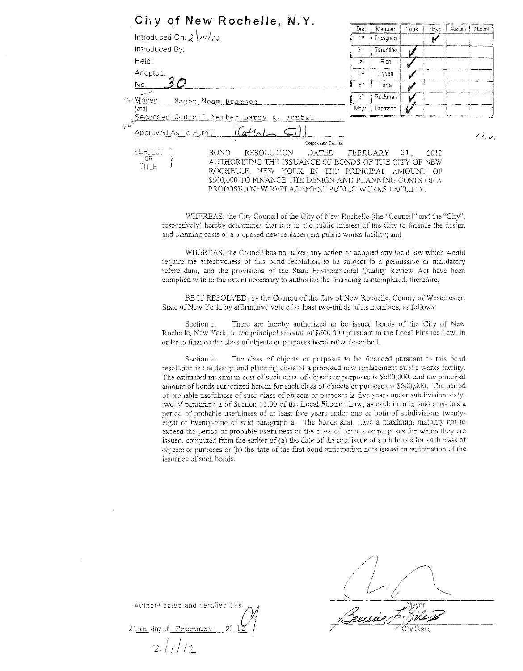| City of New Rochelle, N.Y.                                                                                                                                                                                                                                                                   |                 |                     |      |      |         |                             |
|----------------------------------------------------------------------------------------------------------------------------------------------------------------------------------------------------------------------------------------------------------------------------------------------|-----------------|---------------------|------|------|---------|-----------------------------|
| Introduced On: $2/\frac{1}{4}$                                                                                                                                                                                                                                                               | Dist<br>1st     | Member<br>Trangucci | Yeas | Navs | Abstain | Absent                      |
| Introduced By:                                                                                                                                                                                                                                                                               | 2 <sup>nd</sup> | Tarantino           | v    |      |         |                             |
| Held:                                                                                                                                                                                                                                                                                        | 3rd             | Rice                |      |      |         |                             |
| Adopted:                                                                                                                                                                                                                                                                                     | 4 <sub>th</sub> | Hyden               |      |      |         |                             |
| No.                                                                                                                                                                                                                                                                                          | 50              | Ferter              |      |      |         |                             |
| سيستاني<br><b>RAMoved:</b><br>Mayor Noam Bramson                                                                                                                                                                                                                                             | 86              | Rackman             |      |      |         |                             |
| $\{and\}$                                                                                                                                                                                                                                                                                    | Mayor           | Bramson             |      |      |         |                             |
| Seconded Council Member Barry R. Fertel<br>نې<br>افغاني<br>Approved As To Form:<br>Corporation Counsel                                                                                                                                                                                       |                 |                     |      |      |         | $\mathcal{A}_{\mathcal{A}}$ |
| <b>SUBJECT</b><br><b>BOND</b><br>RESOLUTION<br>DATED<br>OR.<br>AUTHORIZING THE ISSUANCE OF BONDS OF THE CITY OF NEW<br>TITI E<br>ROCHELLE, NEW YORK IN THE PRINCIPAL AMOUNT OF<br>\$600,000 TO FINANCE THE DESIGN AND PLANNING COSTS OF A<br>PROPOSED NEW REPLACEMENT PUBLIC WORKS FACILITY. | FEBRUARY        |                     | 21.  | 2012 |         |                             |

WHEREAS, the City Council of the City of New Rochelle (the "Council" and the "City", respectively) hereby determines that it is in the public interest of the City to finance the design and plarming costs of a proposed new repiacement public works facility; and

WHEREAS, the Council has not taken any action or adopted any local law which would require the effectiveness of this bond resolution to be subject to a permissive or mandatory referendum, and the provisions of the State Environmental Quality Review Act have been complied with to the extent necessary to authorize the financing contemplated; therefore,

BE IT RESOLVED, by the Council of the City of New Rochelle, County of Westchester, State of New York, by affirmative vote of at least two-thirds of its members, as follows:

Section l. There are hereby authorized to be issued bonds of the City of New Rochelle, New York, in the principal amount of \$600,000 pursuant to the Local Finance Law, in order to finance the class of objects or purposes hereinafter described.

Section 2. The class of objects or purposes to be financed pursuant to this bond resolution is the design and planning costs of a proposed new replacement public works facility. The estimated maximum cost of such class of objects or purposes is \$600,000, and the principal amount of bonds authorized herein for such class of objects or purposes is \$600,000. The period of probabic usefulness of such class of objects or purposes is five years under snbdivision sixtytwo of paragraph a of Section 11.00 of the LocaJ Finance Law, as each item in said class has a period of probable usefulness of at least five years under one or both of subdivisions twentyeight or twenty-nine of said paragraph a. The bonds shall have a maximum maturity not to exceed the period of probable usefulness of the class of objects or purposes for which they are issued, computed from the earlier of (a) the date of the first issue of such bonds for such class of objects or purposes or (h) the date of the first bond anticipation note issued in anticipation of the issuance of such bonds.

Authenticated and certified this 21st day of February

 $21/12$ 

 $\bigwedge$  $(l \wedge \wedge$  $L$  $\angle$ General F. Given  $\angle$   $\angle$  City Clerk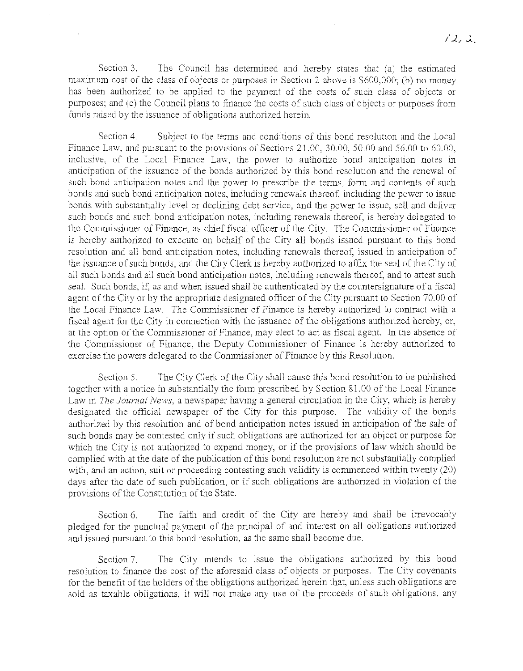Section 3. The Council has determined and hereby states that  $(a)$  the estimated maximum cost of the class of objects or purposes in Section 2 above is \$600,000; (b) no money has been authorized to be applied to the payment of the costs of such class of objects or purposes; and (c) the Council plans to finance the costs of such class of objects or purposes from funds raised by the issuance of obligations authorized herein.

Section 4. Subject to the terms and conditions of this bond resolution and the Local Finance Law, and pursuant to the provisions of Sections 21.00, 30.00, 50.00 and 56.00 to 60.00, inclusive, of the Local Finance Law, the power to authorize bond anticipation notes in anticipation of the issuance of the bonds authorized by this bond resolution and the renewal of such bond anticipation notes and the power to prescribe the terms, form and contents of such bonds and such bond anticipation notes, including renewals thereof, including the power to issue bonds with substantially level or declining debt service, and the power to issue, sell and deliver such bonds and such bond anticipation notes, including renewals thereof, is hereby delegated to the Commissioner of Finance, as chief fiscal officer of the City. The Commissioner of Finance is hereby authorized to execute on behalf of the City all bonds issued pursuant to this bond resolution and all bond anticipation notes, including renewals thereof, issued in anticipation of the issuance of such bonds, and the City Clerk is hereby authorized to affix the seal of the City of all such bonds and all such bond anticipation notes, inciuding renewals thereof, and to attest such seal. Such bonds, if, as and when issued shall be authenticated by the countersignature of a fiscal agent of the City or by the appropriate designated officer of the City pursuant to Section 70.00 of the Local Finance Law. The Commissioner of Finance is hereby authorized to contract with a fiscal agent for the City in connection with the issuance of the obligations authorized hereby, or, at the option of the Commissioner of Finance, may elect to act as fiscal agent. In the absence of the Commissioner of Finance, the Deputy Commissioner of Finance is hereby authorized to exercise the powers delegated to the Commissioner of Finance by this Resolution.

Section 5. The City Clerk of the City shall cause this bond resolution to be published together with a notice in substantially the form prescribed by Section 81.00 of the Local Finance Law in *The Journal News,* a newspaper having a general circulation in the City, which is hereby designated the official newspaper of the City for this purpose. The validity of the bonds authorized by this resolution and of bond anticipation notes issued in anticipation of the sale of such bonds may be contested only if such obligations are authorized for an object or purpose for which the City is not authorized to expend money, or if the provisions of law which should be complied with at the date of the publication of this bond resolution are not substantially complied with, and an action, suit or proceeding contesting such validity is commenced within twenty (20) days after the date of such publication, or if sucb obligations are authorized in violation of the provisions of the Constitution of the State.

Section 6. The faith and credit of the City are hereby and shall be irrevocably pledged for the punctual payment of the principal of and interest on all obligations authorized and issued pursuant to this bond resolution, as the same shall become due.

Section 7. The City intends to issue the obligations authorized by this bond resolution to finance the cost of the aforesaid class of objects or purposes. The City covenants for the benefit of the holders of the obligations authorized herein that, unless such obligations are sold as taxable obligations, it will not make any use of the proceeds of such obligations, any